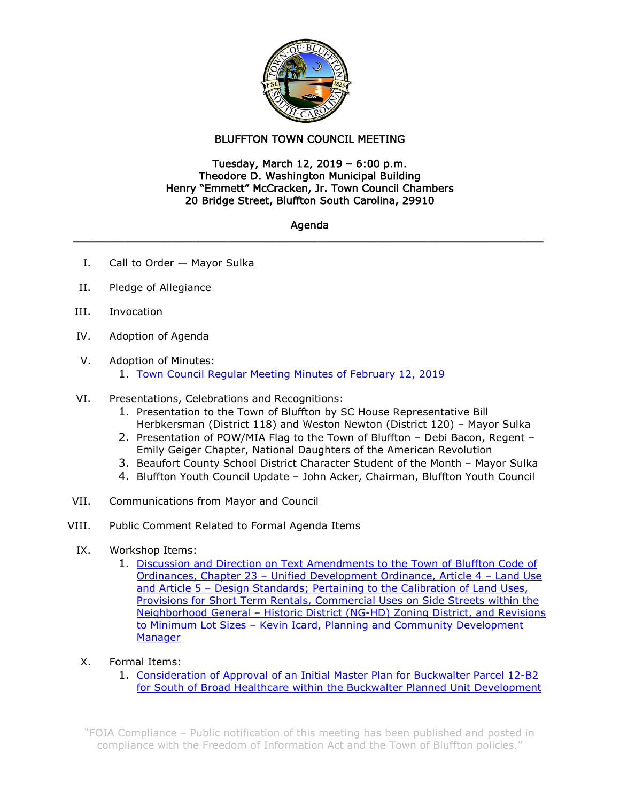

## BLUFFTON TOWN COUNCIL MEETING

## Tuesday, March 12, 2019 – 6:00 p.m. Theodore D. Washington Municipal Building Henry "Emmett" McCracken, Jr. Town Council Chambers 20 Bridge Street, Bluffton South Carolina, 29910

## Agenda **\_\_\_\_\_\_\_\_\_\_\_\_\_\_\_\_\_\_\_\_\_\_\_\_\_\_\_\_\_\_\_\_\_\_\_\_\_\_\_\_\_\_\_\_\_\_\_\_\_\_\_\_\_\_\_\_\_\_\_\_\_\_\_\_\_\_\_\_\_\_\_\_\_**

- I. Call to Order Mayor Sulka
- II. Pledge of Allegiance
- III. Invocation
- IV. Adoption of Agenda
- V. Adoption of Minutes:
	- 1. Town Council Regular [Meeting Minutes of February 12, 2019](https://www.townofbluffton.sc.gov/government/agendas/3-12-19/february-minutes.pdf)
- VI. Presentations, Celebrations and Recognitions:
	- 1. Presentation to the Town of Bluffton by SC House Representative Bill Herbkersman (District 118) and Weston Newton (District 120) – Mayor Sulka
	- 2. Presentation of POW/MIA Flag to the Town of Bluffton Debi Bacon, Regent Emily Geiger Chapter, National Daughters of the American Revolution
	- 3. Beaufort County School District Character Student of the Month Mayor Sulka
	- 4. Bluffton Youth Council Update John Acker, Chairman, Bluffton Youth Council
- VII. Communications from Mayor and Council
- VIII. Public Comment Related to Formal Agenda Items
	- IX. Workshop Items:
		- 1. [Discussion and Direction on Text Amendments to the Town of Bluffton Code of](https://www.townofbluffton.sc.gov/government/agendas/3-12-19/udo-amendments-workshop.pdf)  Ordinances, Chapter 23 – [Unified Development Ordinance, Article 4 –](https://www.townofbluffton.sc.gov/government/agendas/3-12-19/udo-amendments-workshop.pdf) Land Use and Article 5 - Design Standards; Pertaining to the Calibration of Land Uses, [Provisions for Short Term Rentals, Commercial Uses on Side Streets within the](https://www.townofbluffton.sc.gov/government/agendas/3-12-19/udo-amendments-workshop.pdf)  Neighborhood General – [Historic District \(NG-HD\) Zoning District, and Revisions](https://www.townofbluffton.sc.gov/government/agendas/3-12-19/udo-amendments-workshop.pdf)  to Minimum Lot Sizes – [Kevin Icard, Planning and Community Development](https://www.townofbluffton.sc.gov/government/agendas/3-12-19/udo-amendments-workshop.pdf)  [Manager](https://www.townofbluffton.sc.gov/government/agendas/3-12-19/udo-amendments-workshop.pdf)
	- X. Formal Items:
		- 1. [Consideration of Approval of an Initial Master Plan for Buckwalter Parcel 12-B2](https://www.townofbluffton.sc.gov/government/agendas/3-12-19/south-of-broad-healthcare-imp.pdf)  [for South of Broad Healthcare within the Buckwalter Planned Unit Development](https://www.townofbluffton.sc.gov/government/agendas/3-12-19/south-of-broad-healthcare-imp.pdf)

"FOIA Compliance – Public notification of this meeting has been published and posted in compliance with the Freedom of Information Act and the Town of Bluffton policies."